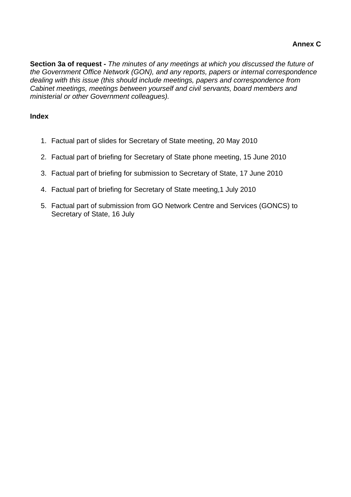**Section 3a of request -** *The minutes of any meetings at which you discussed the future of the Government Office Network (GON), and any reports, papers or internal correspondence dealing with this issue (this should include meetings, papers and correspondence from Cabinet meetings, meetings between yourself and civil servants, board members and ministerial or other Government colleagues).* 

# **Index**

- 1. Factual part of slides for Secretary of State meeting, 20 May 2010
- 2. Factual part of briefing for Secretary of State phone meeting, 15 June 2010
- 3. Factual part of briefing for submission to Secretary of State, 17 June 2010
- 4. Factual part of briefing for Secretary of State meeting,1 July 2010
- 5. Factual part of submission from GO Network Centre and Services (GONCS) to Secretary of State, 16 July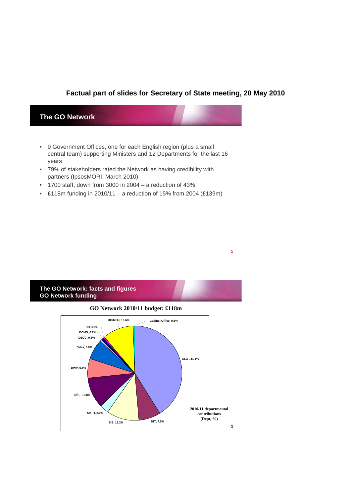#### **Factual part of slides for Secretary of State meeting, 20 May 2010**

**1**

#### **The GO Network**

- 9 Government Offices, one for each English region (plus a small central team) supporting Ministers and 12 Departments for the last 16 years
- 79% of stakeholders rated the Network as having credibility with partners (IpsosMORI, March 2010)
- 1700 staff, down from 3000 in 2004 a reduction of 43%
- £118m funding in 2010/11 a reduction of 15% from 2004 (£139m)

#### **The GO Network: facts and figures GO Network funding**

### **3 GO Network 2010/11 budget: £118m CLG , 41.1% BIS, 11.2% DfT, 7.5% UK TI, 2.9%** DfE, 10.8% **DWP, 6.5% Defra, 6.9% DECC, 0.8% DCMS, 0.7% DH, 0.6% HO/MOJ, 10.6% Cabinet Office, 0.6% 2010/11 departmental contributions (Dept, %)**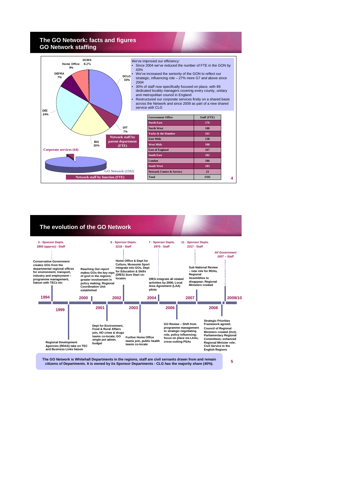#### **The GO Network: facts and figures GO Network staffing**



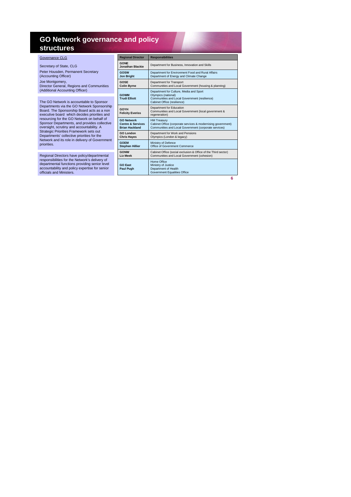#### **GO Network governance and policy structures**

| Governance CLG                                                                                  |
|-------------------------------------------------------------------------------------------------|
| Secretary of State, CLG                                                                         |
| Peter Housden, Permanent Secretary<br>(Accounting Officer)                                      |
| Joe Montgomery,<br>Director General, Regions and Communities<br>(Additional Accounting Officer) |
|                                                                                                 |
| The GO Network is accountable to Sponsor                                                        |

The GO Network is accountable to Sponsor<br>Departments via the GO Network Sponsorship<br>Board. The Sponsorship Board acts as a non<br>executive board which decides priorities and<br>resourcing for the GO Network on behalf of<br>Sponsor

Regional Directors have policy/departmental responsibilities for the Network's delivery of departmental functions providing senior level accountability and policy expertise for senior officials and Ministers.

| <b>Regional Director</b>               | <b>Responsibilities</b>                                                                                                                        |  |
|----------------------------------------|------------------------------------------------------------------------------------------------------------------------------------------------|--|
| <b>GONE</b><br>Jonathan Blackie        | Department for Business, Innovation and Skills                                                                                                 |  |
| GOSW                                   | Department for Environment Food and Rural Affairs                                                                                              |  |
| <b>Jon Bright</b>                      | Department of Energy and Climate Change                                                                                                        |  |
| GOSE                                   | Department for Transport                                                                                                                       |  |
| <b>Colin Byrne</b>                     | Communities and Local Government (housing & planning)                                                                                          |  |
| GOWM<br><b>Trudi Elliott</b>           | Department for Culture, Media and Sport<br>Olympics (national)<br>Communities and Local Government (resilience)<br>Cabinet Office (resilience) |  |
| <b>GOYH</b><br><b>Felicity Everiss</b> | Department for Education<br>Communities and Local Government (local government &<br>regeneration)                                              |  |
| <b>GO Network</b>                      | <b>HM Treasury</b>                                                                                                                             |  |
| <b>Centre &amp; Services</b>           | Cabinet Office (corporate services & modernising government)                                                                                   |  |
| <b>Brian Hackland</b>                  | Communities and Local Government (corporate services)                                                                                          |  |
| <b>GO London</b>                       | Department for Work and Pensions                                                                                                               |  |
| <b>Chris Hayes</b>                     | Olympics (London & legacy)                                                                                                                     |  |
| <b>GOEM</b>                            | Ministry of Defence                                                                                                                            |  |
| <b>Stephen Hillier</b>                 | Office of Government Commerce                                                                                                                  |  |
| <b>GONW</b>                            | Cabinet Office (social exclusion & Office of the Third sector)                                                                                 |  |
| <b>Liz Meek</b>                        | Communities and Local Government (cohesion)                                                                                                    |  |
| <b>GO East</b><br><b>Paul Pugh</b>     | Home Office<br>Ministry of Justice<br>Department of Health<br><b>Government Equalities Office</b>                                              |  |

**6**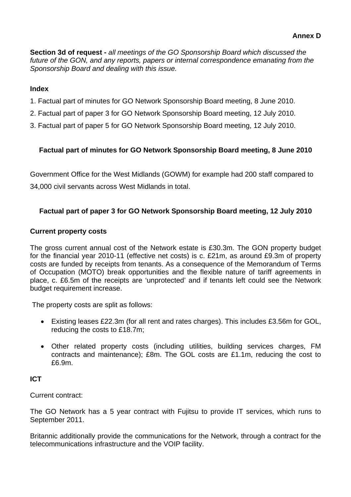**Section 3d of request -** *all meetings of the GO Sponsorship Board which discussed the future of the GON, and any reports, papers or internal correspondence emanating from the Sponsorship Board and dealing with this issue.*

# **Index**

- 1. Factual part of minutes for GO Network Sponsorship Board meeting, 8 June 2010.
- 2. Factual part of paper 3 for GO Network Sponsorship Board meeting, 12 July 2010.
- 3. Factual part of paper 5 for GO Network Sponsorship Board meeting, 12 July 2010.

# **Factual part of minutes for GO Network Sponsorship Board meeting, 8 June 2010**

Government Office for the West Midlands (GOWM) for example had 200 staff compared to 34,000 civil servants across West Midlands in total.

# **Factual part of paper 3 for GO Network Sponsorship Board meeting, 12 July 2010**

## **Current property costs**

The gross current annual cost of the Network estate is £30.3m. The GON property budget for the financial year 2010-11 (effective net costs) is c. £21m, as around £9.3m of property costs are funded by receipts from tenants. As a consequence of the Memorandum of Terms of Occupation (MOTO) break opportunities and the flexible nature of tariff agreements in place, c. £6.5m of the receipts are 'unprotected' and if tenants left could see the Network budget requirement increase.

The property costs are split as follows:

- Existing leases £22.3m (for all rent and rates charges). This includes £3.56m for GOL, reducing the costs to £18.7m;
- Other related property costs (including utilities, building services charges, FM contracts and maintenance); £8m. The GOL costs are £1.1m, reducing the cost to £6.9m.

# **ICT**

Current contract:

The GO Network has a 5 year contract with Fujitsu to provide IT services, which runs to September 2011.

Britannic additionally provide the communications for the Network, through a contract for the telecommunications infrastructure and the VOIP facility.